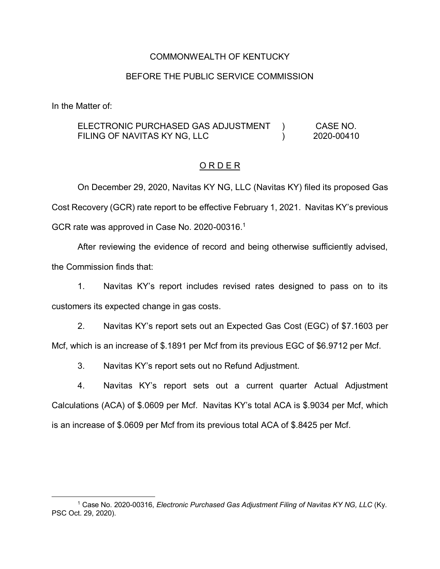### COMMONWEALTH OF KENTUCKY

#### BEFORE THE PUBLIC SERVICE COMMISSION

In the Matter of:

ELECTRONIC PURCHASED GAS ADJUSTMENT FILING OF NAVITAS KY NG, LLC  $\lambda$  $\lambda$ CASE NO. 2020-00410

#### O R D E R

On December 29, 2020, Navitas KY NG, LLC (Navitas KY) filed its proposed Gas Cost Recovery (GCR) rate report to be effective February 1, 2021. Navitas KY's previous GCR rate was approved in Case No. 2020-00316.<sup>1</sup>

After reviewing the evidence of record and being otherwise sufficiently advised, the Commission finds that:

1. Navitas KY's report includes revised rates designed to pass on to its customers its expected change in gas costs.

2. Navitas KY's report sets out an Expected Gas Cost (EGC) of \$7.1603 per Mcf, which is an increase of \$.1891 per Mcf from its previous EGC of \$6.9712 per Mcf.

3. Navitas KY's report sets out no Refund Adjustment.

4. Navitas KY's report sets out a current quarter Actual Adjustment Calculations (ACA) of \$.0609 per Mcf. Navitas KY's total ACA is \$.9034 per Mcf, which is an increase of \$.0609 per Mcf from its previous total ACA of \$.8425 per Mcf.

 <sup>1</sup> Case No. 2020-00316, *Electronic Purchased Gas Adjustment Filing of Navitas KY NG, LLC* (Ky. PSC Oct. 29, 2020).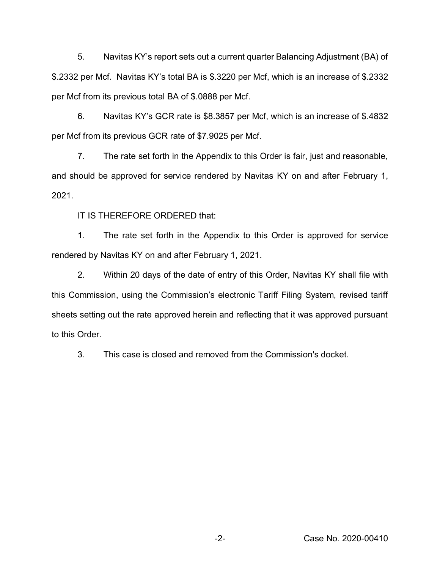5. Navitas KY's report sets out a current quarter Balancing Adjustment (BA) of \$.2332 per Mcf. Navitas KY's total BA is \$.3220 per Mcf, which is an increase of \$.2332 per Mcf from its previous total BA of \$.0888 per Mcf.

6. Navitas KY's GCR rate is \$8.3857 per Mcf, which is an increase of \$.4832 per Mcf from its previous GCR rate of \$7.9025 per Mcf.

7. The rate set forth in the Appendix to this Order is fair, just and reasonable, and should be approved for service rendered by Navitas KY on and after February 1, 2021.

IT IS THEREFORE ORDERED that:

1. The rate set forth in the Appendix to this Order is approved for service rendered by Navitas KY on and after February 1, 2021.

2. Within 20 days of the date of entry of this Order, Navitas KY shall file with this Commission, using the Commission's electronic Tariff Filing System, revised tariff sheets setting out the rate approved herein and reflecting that it was approved pursuant to this Order.

3. This case is closed and removed from the Commission's docket.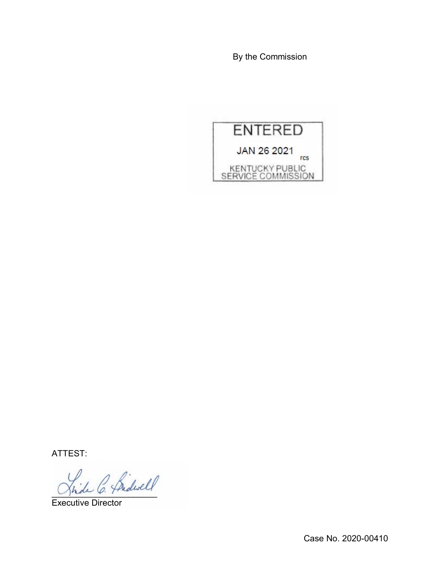By the Commission



ATTEST:

)<br>de C. Bidwell

Executive Director

Case No. 2020-00410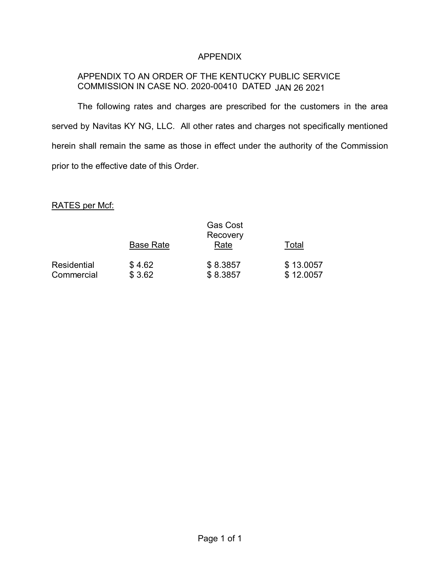## APPENDIX

# APPENDIX TO AN ORDER OF THE KENTUCKY PUBLIC SERVICE COMMISSION IN CASE NO. 2020-00410 DATED JAN 26 2021

The following rates and charges are prescribed for the customers in the area served by Navitas KY NG, LLC. All other rates and charges not specifically mentioned herein shall remain the same as those in effect under the authority of the Commission prior to the effective date of this Order.

### RATES per Mcf:

|                           |                  | <b>Gas Cost</b><br>Recovery |                        |
|---------------------------|------------------|-----------------------------|------------------------|
|                           | <b>Base Rate</b> | Rate                        | Total                  |
| Residential<br>Commercial | \$4.62<br>\$3.62 | \$8.3857<br>\$8.3857        | \$13.0057<br>\$12.0057 |